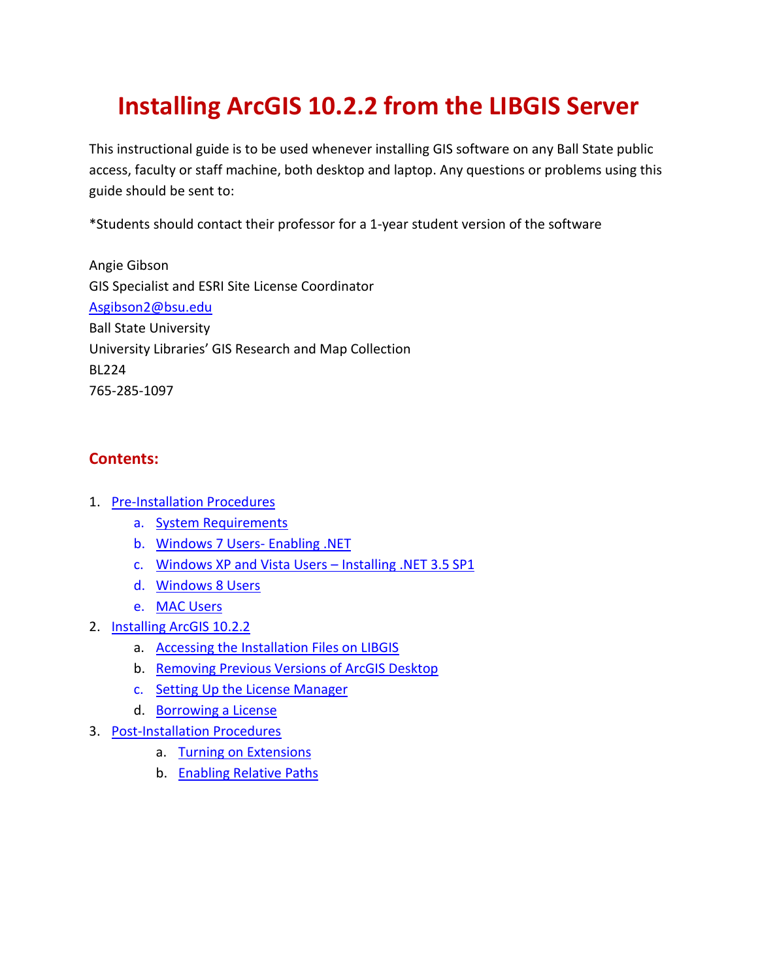# **Installing ArcGIS 10.2.2 from the LIBGIS Server**

This instructional guide is to be used whenever installing GIS software on any Ball State public access, faculty or staff machine, both desktop and laptop. Any questions or problems using this guide should be sent to:

\*Students should contact their professor for a 1-year student version of the software

Angie Gibson GIS Specialist and ESRI Site License Coordinator [Asgibson2@bsu.edu](mailto:Asgibson2@bsu.edu) Ball State University University Libraries' GIS Research and Map Collection BL224 765-285-1097

## **Contents:**

- 1. [Pre-Installation Procedures](#page-1-0)
	- a. System Requirements
	- b. [Windows 7 Users-](#page-1-1) Enabling .NET
	- c. [Windows XP and Vista Users](#page-1-2)  Installing .NET 3.5 SP1
	- d. [Windows 8 Users](#page-1-3)
	- e. [MAC Users](#page-1-4)
- 2. [Installing ArcGIS 10.2.2](#page-2-0)
	- a. [Accessing the Installation Files on LIBGIS](#page-2-1)
	- b. [Removing Previous Versions of ArcGIS Desktop](#page-2-2)
	- c. [Setting Up the License Manager](#page-4-0)
	- d. [Borrowing a License](#page-6-0)
- 3. [Post-Installation Procedures](#page-7-0)
	- a. [Turning on Extensions](#page-7-1)
	- b. [Enabling Relative Paths](#page-8-0)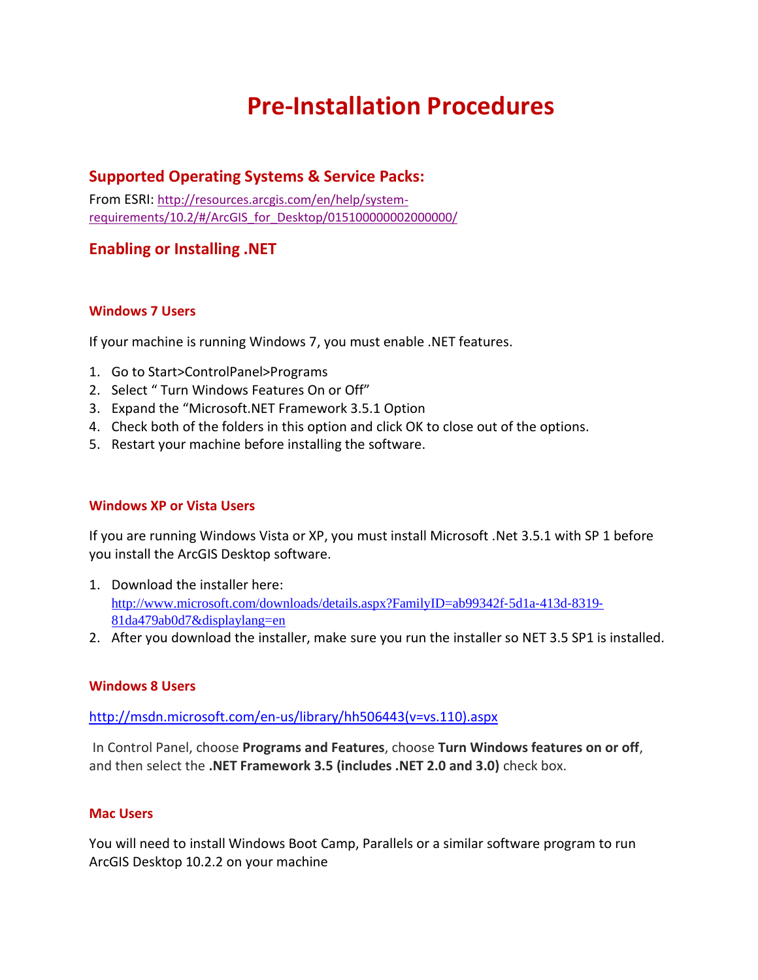## **Pre-Installation Procedures**

### <span id="page-1-0"></span>**Supported Operating Systems & Service Packs:**

From ESRI: [http://resources.arcgis.com/en/help/system](http://resources.arcgis.com/en/help/system-requirements/10.2/#/ArcGIS_for_Desktop/015100000002000000/)[requirements/10.2/#/ArcGIS\\_for\\_Desktop/015100000002000000/](http://resources.arcgis.com/en/help/system-requirements/10.2/#/ArcGIS_for_Desktop/015100000002000000/)

### <span id="page-1-1"></span>**Enabling or Installing .NET**

### **Windows 7 Users**

If your machine is running Windows 7, you must enable .NET features.

- 1. Go to Start>ControlPanel>Programs
- 2. Select " Turn Windows Features On or Off"
- 3. Expand the "Microsoft.NET Framework 3.5.1 Option
- 4. Check both of the folders in this option and click OK to close out of the options.
- <span id="page-1-2"></span>5. Restart your machine before installing the software.

### **Windows XP or Vista Users**

If you are running Windows Vista or XP, you must install Microsoft .Net 3.5.1 with SP 1 before you install the ArcGIS Desktop software.

- 1. Download the installer here: [http://www.microsoft.com/downloads/details.aspx?FamilyID=ab99342f](http://www.microsoft.com/downloads/details.aspx?FamilyID=ab99342f‐5d1a‐413d‐8319‐81da479ab0d7&displaylang=en)-5d1a-413d-8319-[81da479ab0d7&displaylang=en](http://www.microsoft.com/downloads/details.aspx?FamilyID=ab99342f‐5d1a‐413d‐8319‐81da479ab0d7&displaylang=en)
- <span id="page-1-3"></span>2. After you download the installer, make sure you run the installer so NET 3.5 SP1 is installed.

### **Windows 8 Users**

### [http://msdn.microsoft.com/en-us/library/hh506443\(v=vs.110\).aspx](http://msdn.microsoft.com/en-us/library/hh506443(v=vs.110).aspx)

In Control Panel, choose **Programs and Features**, choose **Turn Windows features on or off**, and then select the **.NET Framework 3.5 (includes .NET 2.0 and 3.0)** check box.

### <span id="page-1-4"></span>**Mac Users**

You will need to install Windows Boot Camp, Parallels or a similar software program to run ArcGIS Desktop 10.2.2 on your machine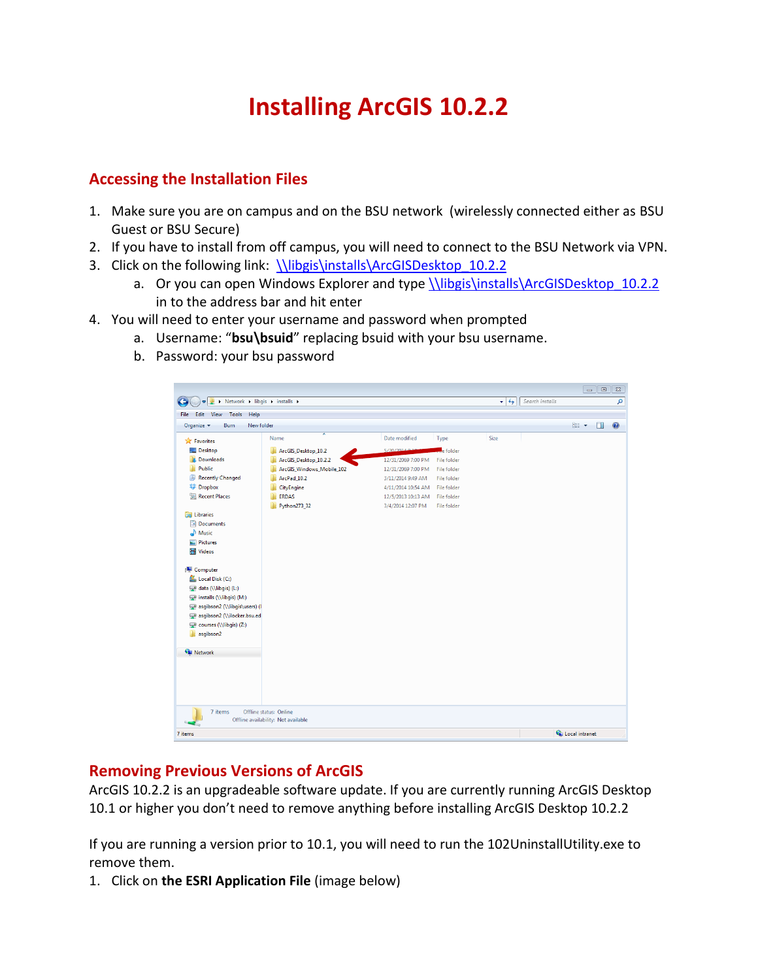# **Installing ArcGIS 10.2.2**

## <span id="page-2-1"></span><span id="page-2-0"></span>**Accessing the Installation Files**

- 1. Make sure you are on campus and on the BSU network (wirelessly connected either as BSU Guest or BSU Secure)
- 2. If you have to install from off campus, you will need to connect to the BSU Network via VPN.
- 3. Click on the following link: [\\libgis\installs\ArcGISDesktop\\_10.2.2](file://libgis/installs/ArcGISDesktop_10.2.2)
	- a. Or you can open Windows Explorer and type *\\libgis\installs\ArcGISDesktop* 10.2.2 in to the address bar and hit enter
- 4. You will need to enter your username and password when prompted
	- a. Username: "**bsu\bsuid**" replacing bsuid with your bsu username.
	- b. Password: your bsu password



### <span id="page-2-2"></span>**Removing Previous Versions of ArcGIS**

ArcGIS 10.2.2 is an upgradeable software update. If you are currently running ArcGIS Desktop 10.1 or higher you don't need to remove anything before installing ArcGIS Desktop 10.2.2

If you are running a version prior to 10.1, you will need to run the 102UninstallUtility.exe to remove them.

1. Click on **the ESRI Application File** (image below)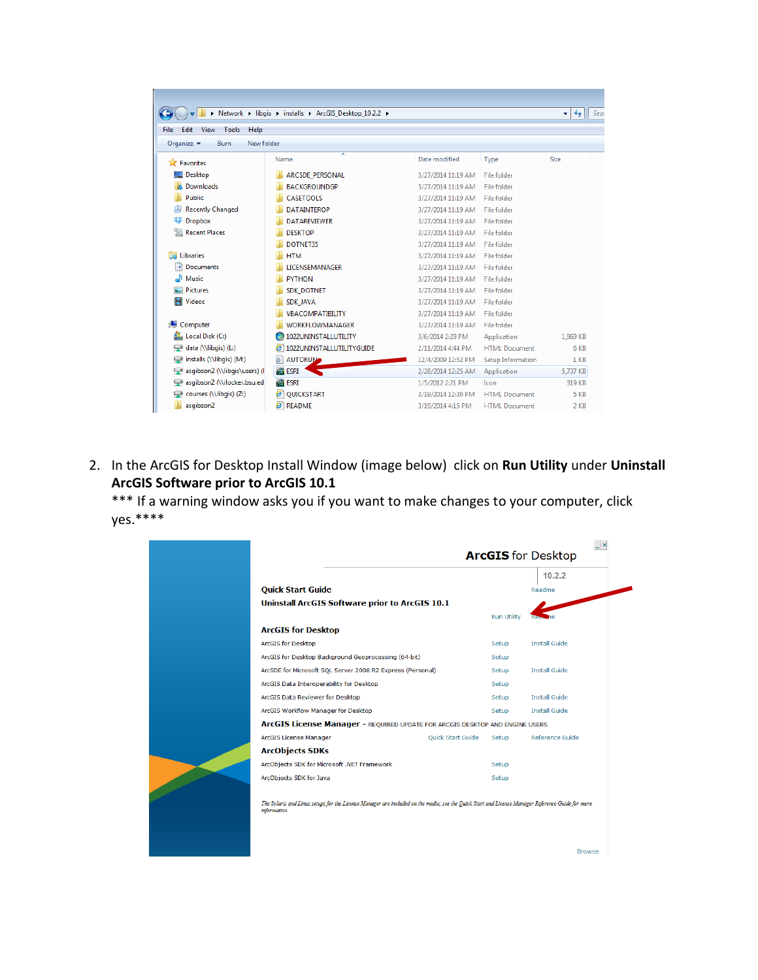|                                                     | > Network > libgis > installs > ArcGIS Desktop 10.2.2 > |                    |                      | $\ddotmark$<br>Sea<br>۰ |
|-----------------------------------------------------|---------------------------------------------------------|--------------------|----------------------|-------------------------|
| File<br>Edit<br>View<br>Tools<br>Help               |                                                         |                    |                      |                         |
| Organize $\blacktriangledown$<br>Burn<br>New folder |                                                         |                    |                      |                         |
|                                                     | ≖                                                       |                    |                      |                         |
| <b>The Favorites</b>                                | Name                                                    | Date modified      | Type                 | Size                    |
| Desktop                                             | <b>ARCSDE PERSONAL</b>                                  | 3/27/2014 11:19 AM | File folder          |                         |
| Downloads                                           | <b>BACKGROUNDGP</b>                                     | 3/27/2014 11:19 AM | File folder          |                         |
| Public                                              | <b>CASETOOLS</b>                                        | 3/27/2014 11:19 AM | File folder          |                         |
| <b>Recently Changed</b>                             | <b>DATAINTEROP</b>                                      | 3/27/2014 11:19 AM | File folder          |                         |
| <b>Dropbox</b>                                      | <b>DATARFVIFWER</b>                                     | 3/27/2014 11:19 AM | File folder          |                         |
| Recent Places                                       | <b>DESKTOP</b>                                          | 3/27/2014 11:19 AM | File folder          |                         |
|                                                     | DOTNET35                                                | 3/27/2014 11:19 AM | File folder          |                         |
| <b>Libraries</b>                                    | <b>HTM</b>                                              | 3/27/2014 11:19 AM | File folder          |                         |
| <b>Documents</b>                                    | <b>LICENSEMANAGER</b>                                   | 3/27/2014 11:19 AM | File folder          |                         |
| Music                                               | <b>PYTHON</b>                                           | 3/27/2014 11:19 AM | File folder          |                         |
| <b>Pictures</b>                                     | <b>SDK DOTNET</b>                                       | 3/27/2014 11:19 AM | File folder          |                         |
| <b>Videos</b>                                       | <b>SDK JAVA</b>                                         | 3/27/2014 11:19 AM | File folder          |                         |
|                                                     | <b>VRACOMPATIBILITY</b>                                 | 3/27/2014 11:19 AM | File folder          |                         |
| Computer                                            | <b>WORKFLOWMANAGER</b>                                  | 3/27/2014 11:19 AM | File folder          |                         |
| Local Disk (C:)                                     | 1022UNINSTALLUTILITY                                    | 3/6/2014 2:29 PM   | Application          | 1.969 KB                |
| data (\\libgis) (L:)                                | e<br>1022UNINSTALLUTILITYGUIDE                          | 2/11/2014 4:44 PM  | <b>HTML Document</b> | 6 KB                    |
| installs (\\libgis) (M:)                            | ۵Ì<br><b>AUTORUM</b>                                    | 12/4/2009 12:52 PM | Setup Information    | $1$ KB                  |
| asgibson2 (\\libgis\users) (I                       | <b>BESRI</b>                                            | 2/28/2014 12:25 AM | Application          | 5,737 KB                |
| asgibson2 (\\ilocker.bsu.ed                         | <b>BESRI</b>                                            | 1/5/2012 2:21 PM   | Icon                 | 319 KB                  |
| courses (\\libgis) (Z:)                             | <b>PI QUICKSTART</b>                                    | 3/19/2014 12:30 PM | <b>HTMI</b> Document | 5 KB                    |
| asgibson2                                           | $\epsilon$ README                                       | 3/19/2014 4:15 PM  | <b>HTML Document</b> | 2 KB                    |

2. In the ArcGIS for Desktop Install Window (image below) click on **Run Utility** under **Uninstall ArcGIS Software prior to ArcGIS 10.1**

\*\*\* If a warning window asks you if you want to make changes to your computer, click yes.\*\*\*\*

|                                                                                                                                                                  |                          |                    | $\mathsf{I}$ $\times$<br><b>ArcGIS</b> for Desktop |
|------------------------------------------------------------------------------------------------------------------------------------------------------------------|--------------------------|--------------------|----------------------------------------------------|
|                                                                                                                                                                  |                          |                    | 10.2.2                                             |
| <b>Quick Start Guide</b>                                                                                                                                         |                          |                    | Readme                                             |
| <b>Uninstall ArcGIS Software prior to ArcGIS 10.1</b>                                                                                                            |                          |                    |                                                    |
|                                                                                                                                                                  |                          | <b>Run Utility</b> |                                                    |
| <b>ArcGIS for Desktop</b>                                                                                                                                        |                          |                    |                                                    |
| <b>ArcGIS for Desktop</b>                                                                                                                                        |                          | Setup              | <b>Install Guide</b>                               |
| ArcGIS for Desktop Background Geoprocessing (64-bit)                                                                                                             |                          | Setup              |                                                    |
| ArcSDE for Microsoft SQL Server 2008 R2 Express (Personal)                                                                                                       |                          | Setup              | <b>Install Guide</b>                               |
| ArcGIS Data Interoperability for Desktop                                                                                                                         |                          | Setup              |                                                    |
| ArcGIS Data Reviewer for Desktop                                                                                                                                 |                          | Setup              | <b>Install Guide</b>                               |
| ArcGIS Workflow Manager for Desktop                                                                                                                              |                          | Setup              | <b>Install Guide</b>                               |
| ArcGIS License Manager - REQUIRED UPDATE FOR ARCGIS DESKTOP AND ENGINE USERS                                                                                     |                          |                    |                                                    |
| ArcGIS License Manager                                                                                                                                           | <b>Ouick Start Guide</b> | Setup              | Reference Guide                                    |
| <b>ArcObjects SDKs</b>                                                                                                                                           |                          |                    |                                                    |
| ArcObjects SDK for Microsoft .NET Framework                                                                                                                      |                          | Setup              |                                                    |
| ArcObjects SDK for Java                                                                                                                                          |                          | Setup              |                                                    |
| The Solaris and Linux setups for the License Manager are included on the media; see the Quick Start and License Manager Reference Guide for more<br>information. |                          |                    |                                                    |
|                                                                                                                                                                  |                          |                    | <b>Browse</b>                                      |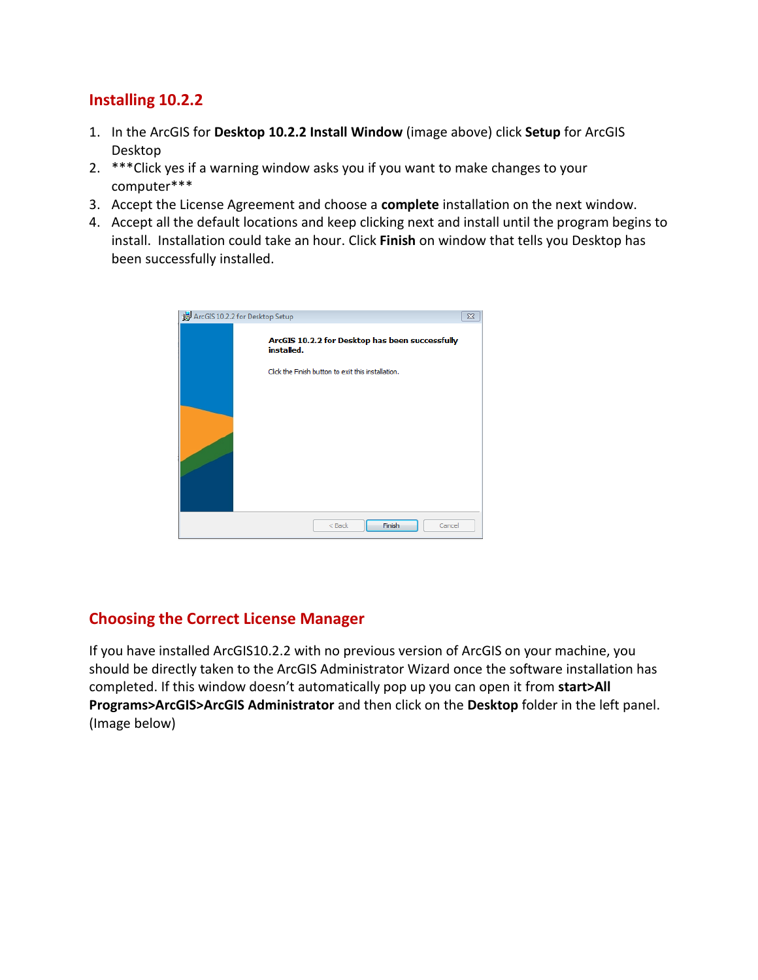## **Installing 10.2.2**

- 1. In the ArcGIS for **Desktop 10.2.2 Install Window** (image above) click **Setup** for ArcGIS Desktop
- 2. \*\*\*Click yes if a warning window asks you if you want to make changes to your computer\*\*\*
- 3. Accept the License Agreement and choose a **complete** installation on the next window.
- 4. Accept all the default locations and keep clicking next and install until the program begins to install. Installation could take an hour. Click **Finish** on window that tells you Desktop has been successfully installed.

| ArcGIS 10.2.2 for Desktop Setup                               | 23 |
|---------------------------------------------------------------|----|
| ArcGIS 10.2.2 for Desktop has been successfully<br>installed. |    |
| Click the Finish button to exit this installation.            |    |
|                                                               |    |
|                                                               |    |
|                                                               |    |
| Finish<br>$<$ Back<br>Cancel                                  |    |

## <span id="page-4-0"></span>**Choosing the Correct License Manager**

If you have installed ArcGIS10.2.2 with no previous version of ArcGIS on your machine, you should be directly taken to the ArcGIS Administrator Wizard once the software installation has completed. If this window doesn't automatically pop up you can open it from **start>All Programs>ArcGIS>ArcGIS Administrator** and then click on the **Desktop** folder in the left panel. (Image below)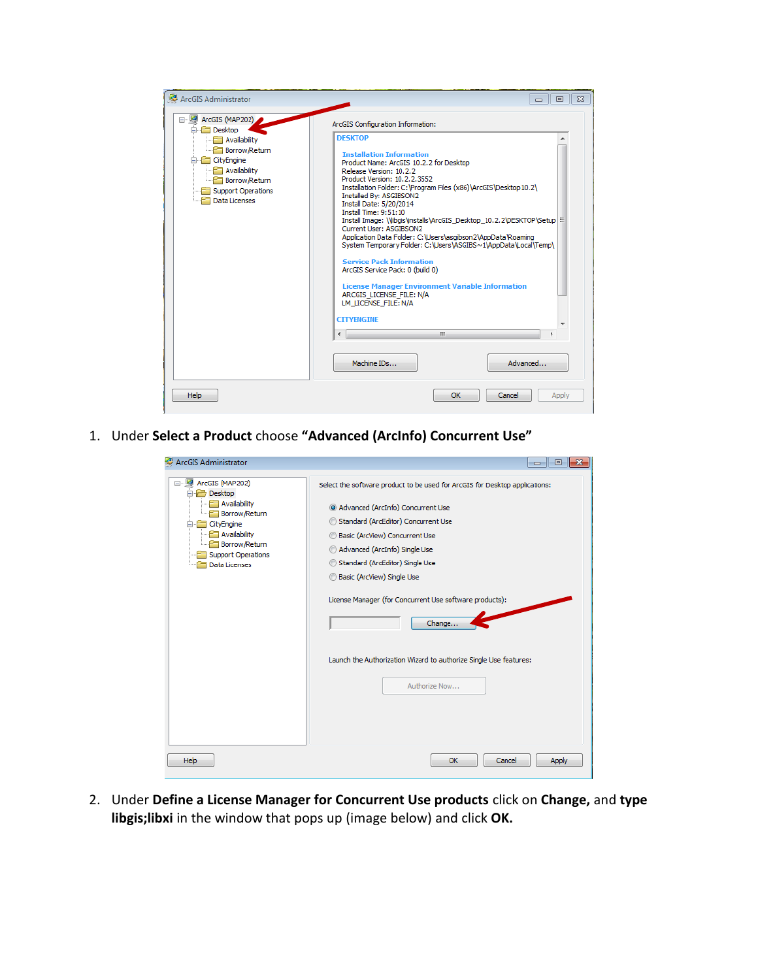| ArcGIS Administrator                                                                                                                                                                | $\Sigma$<br>回<br>$\Box$                                                                                                                                                                                                                                                                                                                                                                                                                                                                                                                                                                                                                                                                                                                                                                                         |
|-------------------------------------------------------------------------------------------------------------------------------------------------------------------------------------|-----------------------------------------------------------------------------------------------------------------------------------------------------------------------------------------------------------------------------------------------------------------------------------------------------------------------------------------------------------------------------------------------------------------------------------------------------------------------------------------------------------------------------------------------------------------------------------------------------------------------------------------------------------------------------------------------------------------------------------------------------------------------------------------------------------------|
| ArcGIS (MAP202)<br>□ <b>P</b> Desktop<br>Availability<br><b>Borrow/Return</b><br><b>E</b> CityEngine<br>Availability<br>Borrow/Return<br><b>Support Operations</b><br>Data Licenses | ArcGIS Configuration Information:<br><b>DESKTOP</b><br><b>Installation Information</b><br>Product Name: ArcGIS 10.2.2 for Desktop<br>Release Version: 10.2.2<br>Product Version: 10.2.2.3552<br>Installation Folder: C: \Program Files (x86)\ArcGIS\Desktop10.2\<br>Installed Bv: ASGIBSON2<br>Install Date: 5/20/2014<br><b>Install Time: 9:51:10</b><br>Install Image: \\libgis\installs\ArcGIS_Desktop_10.2.2\DESKTOP\Setup   E<br>Current User: ASGIBSON2<br>Application Data Folder: C:\Users\asgibson2\AppData\Roaming<br>System Temporary Folder: C:\Users\ASGIBS~1\AppData\Local\Temp\<br><b>Service Pack Information</b><br>ArcGIS Service Pack: 0 (build 0)<br><b>License Manager Environment Variable Information</b><br>ARCGIS LICENSE FILE: N/A<br>LM LICENSE FILE: N/A<br><b>CITYENGINE</b><br>m. |
|                                                                                                                                                                                     | Machine IDs<br>Advanced                                                                                                                                                                                                                                                                                                                                                                                                                                                                                                                                                                                                                                                                                                                                                                                         |
| Help                                                                                                                                                                                | OK<br>Cancel<br>Apply                                                                                                                                                                                                                                                                                                                                                                                                                                                                                                                                                                                                                                                                                                                                                                                           |

1. Under **Select a Product** choose **"Advanced (ArcInfo) Concurrent Use"**

| ArcGIS Administrator                                                                                                                                                              | $\parallel x$<br>H 0 I<br>$-$                                                                                                                                                                                                                                                                                                                                                                                                                               |
|-----------------------------------------------------------------------------------------------------------------------------------------------------------------------------------|-------------------------------------------------------------------------------------------------------------------------------------------------------------------------------------------------------------------------------------------------------------------------------------------------------------------------------------------------------------------------------------------------------------------------------------------------------------|
| □ 图 ArcGIS (MAP202)<br>□ → Desktop<br>Availability<br>Borrow/Return<br>CityEngine<br>e<br>╼<br>Availability<br>Borrow/Return<br><b>Support Operations</b><br><b>Data Licenses</b> | Select the software product to be used for ArcGIS for Desktop applications:<br>Advanced (ArcInfo) Concurrent Use<br>Standard (ArcEditor) Concurrent Use<br>⊙<br>Basic (ArcView) Concurrent Use<br>Advanced (ArcInfo) Single Use<br>Standard (ArcEditor) Single Use<br>Basic (ArcView) Single Use<br>License Manager (for Concurrent Use software products):<br>Change<br>Launch the Authorization Wizard to authorize Single Use features:<br>Authorize Now |
| <b>Help</b>                                                                                                                                                                       | <b>Apply</b><br>OK<br>Cancel                                                                                                                                                                                                                                                                                                                                                                                                                                |

2. Under **Define a License Manager for Concurrent Use products** click on **Change,** and **type libgis;libxi** in the window that pops up (image below) and click **OK.**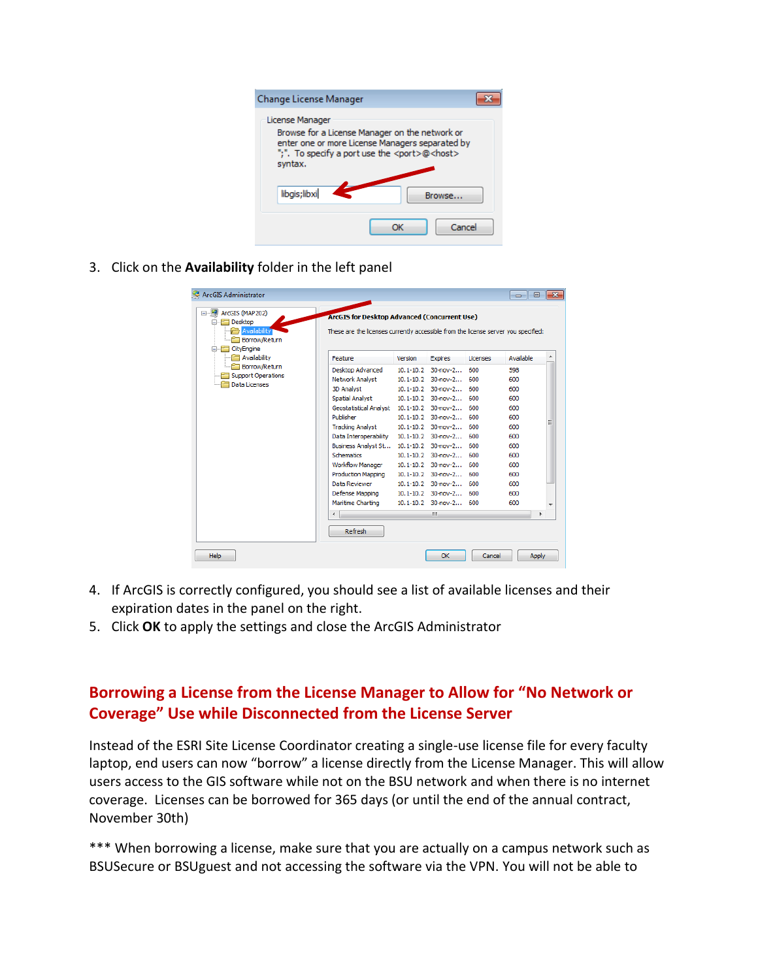| Change License Manager                                                                                                                                                                         |  |
|------------------------------------------------------------------------------------------------------------------------------------------------------------------------------------------------|--|
| License Manager<br>Browse for a License Manager on the network or<br>enter one or more License Managers separated by<br>";". To specify a port use the <port>@<host><br/>syntax.</host></port> |  |
| libgis; libxi<br>Browse                                                                                                                                                                        |  |
| Cancel                                                                                                                                                                                         |  |

3. Click on the **Availability** folder in the left panel

| Version                | <b>Expires</b>                                                                                                                                                                                                                                            | Licenses | Available                                                                                                                                                                                                                                                                                                                                                                                                                                 |                                                                                    |
|------------------------|-----------------------------------------------------------------------------------------------------------------------------------------------------------------------------------------------------------------------------------------------------------|----------|-------------------------------------------------------------------------------------------------------------------------------------------------------------------------------------------------------------------------------------------------------------------------------------------------------------------------------------------------------------------------------------------------------------------------------------------|------------------------------------------------------------------------------------|
|                        |                                                                                                                                                                                                                                                           | 600      | 598                                                                                                                                                                                                                                                                                                                                                                                                                                       |                                                                                    |
|                        |                                                                                                                                                                                                                                                           | 600      | 600                                                                                                                                                                                                                                                                                                                                                                                                                                       |                                                                                    |
|                        |                                                                                                                                                                                                                                                           | 600      | 600                                                                                                                                                                                                                                                                                                                                                                                                                                       |                                                                                    |
|                        |                                                                                                                                                                                                                                                           | 600      | 600                                                                                                                                                                                                                                                                                                                                                                                                                                       |                                                                                    |
|                        |                                                                                                                                                                                                                                                           | 600      | 600                                                                                                                                                                                                                                                                                                                                                                                                                                       |                                                                                    |
|                        |                                                                                                                                                                                                                                                           | 600      | 600                                                                                                                                                                                                                                                                                                                                                                                                                                       |                                                                                    |
|                        |                                                                                                                                                                                                                                                           | 600      | 600                                                                                                                                                                                                                                                                                                                                                                                                                                       |                                                                                    |
|                        |                                                                                                                                                                                                                                                           | 600      | 600                                                                                                                                                                                                                                                                                                                                                                                                                                       |                                                                                    |
|                        |                                                                                                                                                                                                                                                           | 600      | 600                                                                                                                                                                                                                                                                                                                                                                                                                                       |                                                                                    |
|                        |                                                                                                                                                                                                                                                           |          | 600                                                                                                                                                                                                                                                                                                                                                                                                                                       |                                                                                    |
|                        |                                                                                                                                                                                                                                                           | 600      | 600                                                                                                                                                                                                                                                                                                                                                                                                                                       |                                                                                    |
|                        |                                                                                                                                                                                                                                                           |          | 600                                                                                                                                                                                                                                                                                                                                                                                                                                       |                                                                                    |
|                        |                                                                                                                                                                                                                                                           | 600      | 600                                                                                                                                                                                                                                                                                                                                                                                                                                       |                                                                                    |
|                        |                                                                                                                                                                                                                                                           | 600      | 600                                                                                                                                                                                                                                                                                                                                                                                                                                       |                                                                                    |
|                        |                                                                                                                                                                                                                                                           |          | 600                                                                                                                                                                                                                                                                                                                                                                                                                                       |                                                                                    |
|                        | m.                                                                                                                                                                                                                                                        |          |                                                                                                                                                                                                                                                                                                                                                                                                                                           | ь                                                                                  |
| <b>Spatial Analyst</b> | Desktop Advanced<br>$10.1 - 10.2$<br>Network Analyst<br><b>Geostatistical Analyst</b><br><b>Tracking Analyst</b><br>Data Interoperability<br>Business Analyst St<br><b>Workflow Manager</b><br>Production Mapping<br>Defense Mapping<br>Maritime Charting |          | <b>ArcGIS for Desktop Advanced (Concurrent Use)</b><br>$30 - nov - 2$<br>$10.1 - 10.2$ 30-nov-2<br>$10.1 - 10.2$ 30-nov-2<br>$10.1 - 10.2$ 30-nov-2<br>10.1-10.2 30-nov-2<br>$10.1 - 10.2$ 30-nov-2<br>$10.1 - 10.2$ 30-nov-2<br>$10.1 - 10.2$ 30-nov-2<br>10.1-10.2 30-nov-2<br>10.1-10.2 30-nov-2 600<br>$10.1 - 10.2$ 30-nov-2<br>10.1-10.2 30-nov-2 600<br>$10.1 - 10.2$ 30-nov-2<br>$10.1 - 10.2$ 30-nov-2<br>10.1-10.2 30-nov-2 600 | These are the licenses currently accessible from the license server you specified: |

- 4. If ArcGIS is correctly configured, you should see a list of available licenses and their expiration dates in the panel on the right.
- 5. Click **OK** to apply the settings and close the ArcGIS Administrator

## <span id="page-6-0"></span>**Borrowing a License from the License Manager to Allow for "No Network or Coverage" Use while Disconnected from the License Server**

Instead of the ESRI Site License Coordinator creating a single-use license file for every faculty laptop, end users can now "borrow" a license directly from the License Manager. This will allow users access to the GIS software while not on the BSU network and when there is no internet coverage. Licenses can be borrowed for 365 days (or until the end of the annual contract, November 30th)

\*\*\* When borrowing a license, make sure that you are actually on a campus network such as BSUSecure or BSUguest and not accessing the software via the VPN. You will not be able to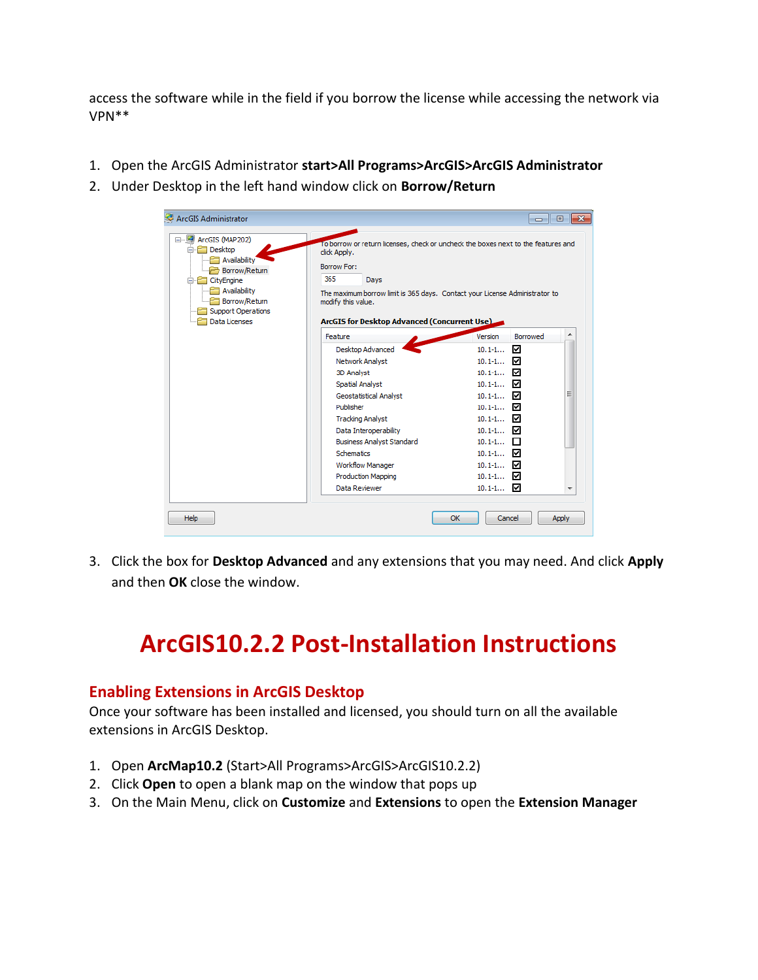access the software while in the field if you borrow the license while accessing the network via VPN\*\*

- 1. Open the ArcGIS Administrator **start>All Programs>ArcGIS>ArcGIS Administrator**
- 2. Under Desktop in the left hand window click on **Borrow/Return**

| ArcGIS Administrator                                                                                                                                                                        |                                                                                                                                                                                                               | $\parallel x$<br>- - 0                                                            |
|---------------------------------------------------------------------------------------------------------------------------------------------------------------------------------------------|---------------------------------------------------------------------------------------------------------------------------------------------------------------------------------------------------------------|-----------------------------------------------------------------------------------|
| ArcGIS (MAP202)<br>$\Box$<br>⊟ <b>P</b> Desktop<br>Availability<br>Borrow/Return<br>→<br>□ CityEngine<br>Availability<br>Borrow/Return<br><b>Support Operations</b><br><b>Data Licenses</b> | click Apply.<br><b>Borrow For:</b><br>365<br>Days<br>The maximum borrow limit is 365 days. Contact your License Administrator to<br>modify this value.<br><b>ArcGIS for Desktop Advanced (Concurrent Use)</b> | To borrow or return licenses, check or uncheck the boxes next to the features and |
|                                                                                                                                                                                             | Feature                                                                                                                                                                                                       | Borrowed<br>Version                                                               |
|                                                                                                                                                                                             | Desktop Advanced                                                                                                                                                                                              | ☑<br>$10.1 - 1$                                                                   |
|                                                                                                                                                                                             | Network Analyst                                                                                                                                                                                               | $10.1 - 1$<br>罓                                                                   |
|                                                                                                                                                                                             | 3D Analyst                                                                                                                                                                                                    | ☑<br>$10.1 - 1$                                                                   |
|                                                                                                                                                                                             | <b>Spatial Analyst</b>                                                                                                                                                                                        | $10.1 - 1$<br>☑                                                                   |
|                                                                                                                                                                                             | <b>Geostatistical Analyst</b>                                                                                                                                                                                 | Ξ<br>10.1-1 $\Box$                                                                |
|                                                                                                                                                                                             | Publisher                                                                                                                                                                                                     | $10.1 - 1$<br>罓                                                                   |
|                                                                                                                                                                                             | <b>Tracking Analyst</b>                                                                                                                                                                                       | $10.1 - 1$<br>罓                                                                   |
|                                                                                                                                                                                             | Data Interoperability                                                                                                                                                                                         | 10.1-1 <b>☑</b>                                                                   |
|                                                                                                                                                                                             | <b>Business Analyst Standard</b>                                                                                                                                                                              | $10.1 - 1$<br>П                                                                   |
|                                                                                                                                                                                             | <b>Schematics</b>                                                                                                                                                                                             | $10.1 - 1$<br>☑                                                                   |
|                                                                                                                                                                                             | <b>Workflow Manager</b>                                                                                                                                                                                       | 10.1-1 $\Box$                                                                     |
|                                                                                                                                                                                             | Production Mapping                                                                                                                                                                                            | $10.1 - 1$<br>罓                                                                   |
|                                                                                                                                                                                             |                                                                                                                                                                                                               |                                                                                   |

3. Click the box for **Desktop Advanced** and any extensions that you may need. And click **Apply** and then **OK** close the window.

## <span id="page-7-0"></span>**ArcGIS10.2.2 Post-Installation Instructions**

### <span id="page-7-1"></span>**Enabling Extensions in ArcGIS Desktop**

Once your software has been installed and licensed, you should turn on all the available extensions in ArcGIS Desktop.

- 1. Open **ArcMap10.2** (Start>All Programs>ArcGIS>ArcGIS10.2.2)
- 2. Click **Open** to open a blank map on the window that pops up
- 3. On the Main Menu, click on **Customize** and **Extensions** to open the **Extension Manager**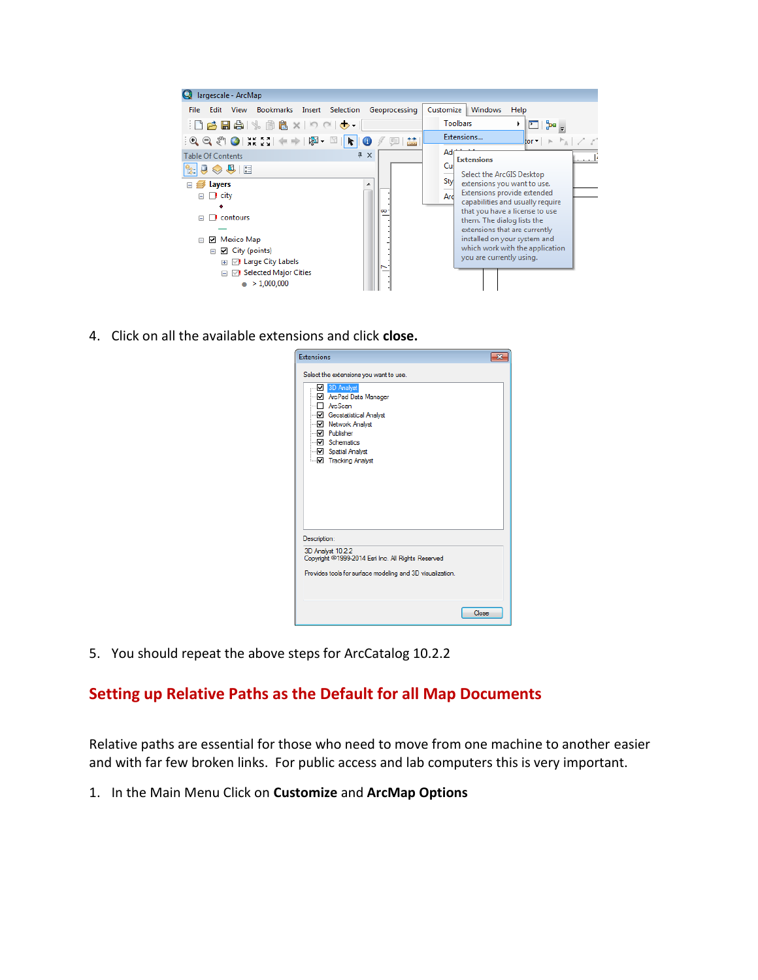| largescale - ArcMap                                                                                                                                                                                                                                                                                                                                                                                                                                                          |                 |                                                                                                                                   |
|------------------------------------------------------------------------------------------------------------------------------------------------------------------------------------------------------------------------------------------------------------------------------------------------------------------------------------------------------------------------------------------------------------------------------------------------------------------------------|-----------------|-----------------------------------------------------------------------------------------------------------------------------------|
| Edit View<br>Bookmarks Insert Selection<br><b>File</b>                                                                                                                                                                                                                                                                                                                                                                                                                       | Geoprocessing   | Windows<br>Help<br>Customize                                                                                                      |
| HBBB % @ B x   9 @   ◆ -                                                                                                                                                                                                                                                                                                                                                                                                                                                     |                 | <b>Toolbars</b><br>◘ ਇ∘                                                                                                           |
| $\mathbb{E} \left[ \mathbb{E} \left[ \mathbb{E} \left[ \mathbb{E} \left[ \mathbb{E} \left[ \mathbb{E} \left[ \mathbb{E} \left[ \mathbb{E} \left[ \mathbb{E} \left[ \mathbb{E} \left[ \mathbb{E} \left[ \mathbb{E} \left[ \mathbb{E} \left[ \mathbb{E} \left[ \mathbb{E} \left[ \mathbb{E} \left[ \mathbb{E} \left[ \mathbb{E} \left[ \mathbb{E} \left[ \mathbb{E} \left[ \mathbb{E} \left[ \mathbb{E} \left[ \mathbb{E} \left[ \mathbb{E} \left[ \mathbb{$<br>$ \mathbf{k} $ | $\frac{++}{--}$ | Extensions<br>$\text{tor}$ $\rightarrow$ $\uparrow$ <sub>a</sub> $\rightarrow$ $\rightarrow$                                      |
| $4 \times$<br><b>Table Of Contents</b>                                                                                                                                                                                                                                                                                                                                                                                                                                       |                 | $Ad++$<br>الليسية<br><b>Extensions</b>                                                                                            |
| $\mathbb{R}$ $\downarrow$ $\Theta$ $\otimes$ $\bullet$ $\downarrow$ $\boxdot$                                                                                                                                                                                                                                                                                                                                                                                                |                 | Cul<br>Select the ArcGIS Desktop                                                                                                  |
| Layers<br>▲                                                                                                                                                                                                                                                                                                                                                                                                                                                                  |                 | Sty<br>extensions you want to use.                                                                                                |
| $\Box$ city<br>E.                                                                                                                                                                                                                                                                                                                                                                                                                                                            |                 | Extensions provide extended<br>Ard                                                                                                |
| contours<br>$\Box$<br>. .                                                                                                                                                                                                                                                                                                                                                                                                                                                    | ∞               | capabilities and usually require<br>that you have a license to use<br>them. The dialog lists the<br>extensions that are currently |
| Mexico Map<br>☑<br>Θ                                                                                                                                                                                                                                                                                                                                                                                                                                                         |                 | installed on your system and                                                                                                      |
| $\Box$ City (points)<br>$\Box$                                                                                                                                                                                                                                                                                                                                                                                                                                               |                 | which work with the application<br>you are currently using.                                                                       |
| <b>B</b> Large City Labels<br>$\left  + \right $                                                                                                                                                                                                                                                                                                                                                                                                                             |                 |                                                                                                                                   |
| ◯! Selected Major Cities<br>$\Box$                                                                                                                                                                                                                                                                                                                                                                                                                                           |                 |                                                                                                                                   |
| >1,000,000<br>۰                                                                                                                                                                                                                                                                                                                                                                                                                                                              |                 |                                                                                                                                   |

4. Click on all the available extensions and click **close.**

| <b>Extensions</b>                                                                                                              |  |
|--------------------------------------------------------------------------------------------------------------------------------|--|
| Select the extensions you want to use.<br>3D Analyst<br>Manager Manager<br><sup></sup> – ArcScan<br>- Ø Geostatistical Analyst |  |
| - Metwork Analyst<br>-- <mark>√</mark> Publisher<br>- Ø Schematics<br>– Ø Spatial Analyst                                      |  |
| <b>IF</b> Tracking Analyst                                                                                                     |  |
| Description:                                                                                                                   |  |
| 3D Analyst 10.2.2<br>Copyright @1999-2014 Esri Inc. All Rights Reserved                                                        |  |
| Provides tools for surface modeling and 3D visualization.                                                                      |  |
| Close                                                                                                                          |  |

5. You should repeat the above steps for ArcCatalog 10.2.2

### <span id="page-8-0"></span>**Setting up Relative Paths as the Default for all Map Documents**

Relative paths are essential for those who need to move from one machine to another easier and with far few broken links. For public access and lab computers this is very important.

1. In the Main Menu Click on **Customize** and **ArcMap Options**